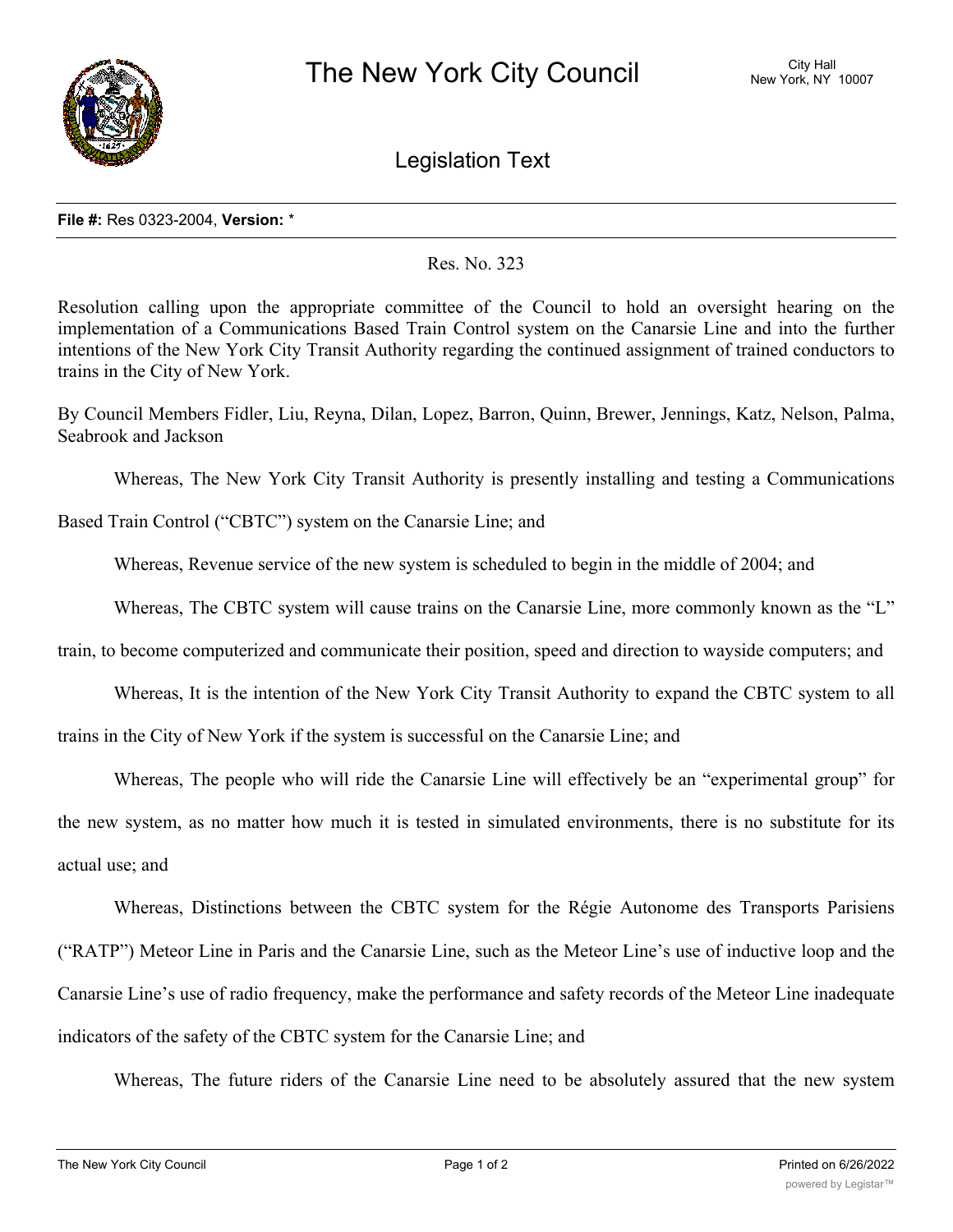

Legislation Text

## **File #:** Res 0323-2004, **Version:** \*

## Res. No. 323

Resolution calling upon the appropriate committee of the Council to hold an oversight hearing on the implementation of a Communications Based Train Control system on the Canarsie Line and into the further intentions of the New York City Transit Authority regarding the continued assignment of trained conductors to trains in the City of New York.

By Council Members Fidler, Liu, Reyna, Dilan, Lopez, Barron, Quinn, Brewer, Jennings, Katz, Nelson, Palma, Seabrook and Jackson

Whereas, The New York City Transit Authority is presently installing and testing a Communications

Based Train Control ("CBTC") system on the Canarsie Line; and

Whereas, Revenue service of the new system is scheduled to begin in the middle of 2004; and

Whereas, The CBTC system will cause trains on the Canarsie Line, more commonly known as the "L"

train, to become computerized and communicate their position, speed and direction to wayside computers; and

Whereas, It is the intention of the New York City Transit Authority to expand the CBTC system to all

trains in the City of New York if the system is successful on the Canarsie Line; and

Whereas, The people who will ride the Canarsie Line will effectively be an "experimental group" for

the new system, as no matter how much it is tested in simulated environments, there is no substitute for its actual use; and

Whereas, Distinctions between the CBTC system for the Régie Autonome des Transports Parisiens ("RATP") Meteor Line in Paris and the Canarsie Line, such as the Meteor Line's use of inductive loop and the Canarsie Line's use of radio frequency, make the performance and safety records of the Meteor Line inadequate indicators of the safety of the CBTC system for the Canarsie Line; and

Whereas, The future riders of the Canarsie Line need to be absolutely assured that the new system